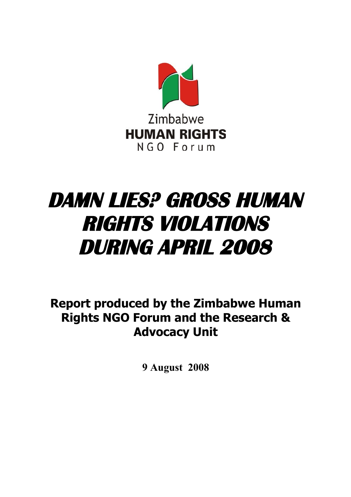

# **DAMN LIES? GROSS HUMAN RIGHTS VIOLATIONS DURING APRIL 2008**

**Report produced by the Zimbabwe Human Rights NGO Forum and the Research & Advocacy Unit**

**9 August 2008**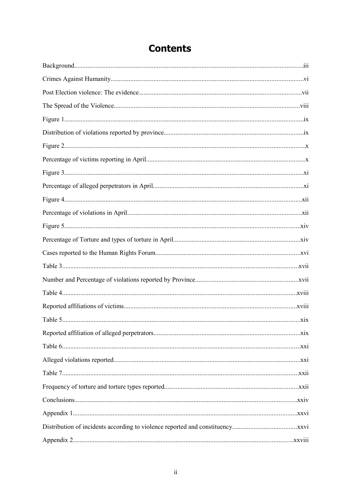## **Contents**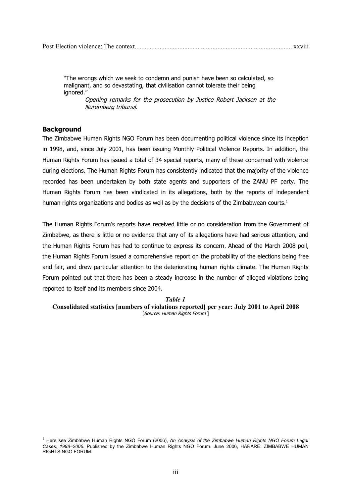"The wrongs which we seek to condemn and punish have been so calculated, so malignant, and so devastating, that civilisation cannot tolerate their being ignored."

Opening remarks for the prosecution by Justice Robert Jackson at the Nuremberg tribunal.

## **Background**

The Zimbabwe Human Rights NGO Forum has been documenting political violence since its inception in 1998, and, since July 2001, has been issuing Monthly Political Violence Reports. In addition, the Human Rights Forum has issued a total of 34 special reports, many of these concerned with violence during elections. The Human Rights Forum has consistently indicated that the majority of the violence recorded has been undertaken by both state agents and supporters of the ZANU PF party. The Human Rights Forum has been vindicated in its allegations, both by the reports of independent human rights organizations and bodies as well as by the decisions of the Zimbabwean courts.<sup>[1](#page-2-0)</sup>

The Human Rights Forum's reports have received little or no consideration from the Government of Zimbabwe, as there is little or no evidence that any of its allegations have had serious attention, and the Human Rights Forum has had to continue to express its concern. Ahead of the March 2008 poll, the Human Rights Forum issued a comprehensive report on the probability of the elections being free and fair, and drew particular attention to the deteriorating human rights climate. The Human Rights Forum pointed out that there has been a steady increase in the number of alleged violations being reported to itself and its members since 2004.

#### *Table 1*

**Consolidated statistics [numbers of violations reported] per year: July 2001 to April 2008** [Source: Human Rights Forum ]

<span id="page-2-0"></span><sup>&</sup>lt;sup>1</sup> Here see Zimbabwe Human Rights NGO Forum (2006), *An Analysis of the Zimbabwe Human Rights NGO Forum Legal Cases, 1998–2006*. Published by the Zimbabwe Human Rights NGO Forum. June 2006, HARARE: ZIMBABWE HUMAN RIGHTS NGO FORUM.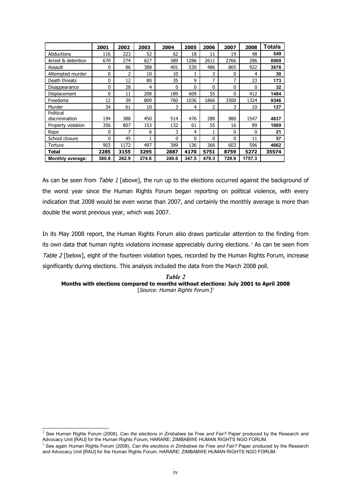|                         | 2001  | 2002  | 2003  | 2004         | 2005  | 2006         | 2007  | 2008   | <b>Totals</b> |
|-------------------------|-------|-------|-------|--------------|-------|--------------|-------|--------|---------------|
| Abductions              | 116   | 223   | 52    | 62           | 18    | 11           | 19    | 48     | 549           |
| Arrest & detention      | 670   | 274   | 627   | 389          | 1286  | 2611         | 2766  | 286    | 8909          |
| Assault                 | 0     | 86    | 388   | 401          | 530   | 486          | 865   | 922    | 3678          |
| Attempted murder        | 0     | 2     | 10    | 10           |       | 3            | 0     | 4      | 30            |
| Death threats           | 0     | 12    | 80    | 35           | 9     | 7            | 7     | 23     | 173           |
| Disappearance           | 0     | 28    | 4     | $\mathbf{0}$ | 0     | $\Omega$     | 0     | 0      | 32            |
| Displacement            | 0     | 11    | 208   | 189          | 609   | 55           | 0     | 412    | 1484          |
| Freedoms                | 12    | 39    | 809   | 760          | 1036  | 1866         | 3500  | 1324   | 9346          |
| Murder                  | 34    | 61    | 10    | 3            | 4     | 2            | 3     | 10     | 127           |
| Political               |       |       |       |              |       |              |       |        |               |
| discrimination          | 194   | 388   | 450   | 514          | 476   | 288          | 980   | 1547   | 4837          |
| Property violation      | 356   | 807   | 153   | 132          | 61    | 55           | 16    | 89     | 1669          |
| Rape                    | 0     | 7     | 6     | 3            | 4     |              | 0     | 0      | 21            |
| School closure          | 0     | 45    | 1     | $\mathbf{0}$ | 0     | $\mathbf{0}$ | 0     | 11     | 57            |
| Torture                 | 903   | 1172  | 497   | 389          | 136   | 366          | 603   | 596    | 4662          |
| Total                   | 2285  | 3155  | 3295  | 2887         | 4170  | 5751         | 8759  | 5272   | 35574         |
| <b>Monthly average:</b> | 380.8 | 262.9 | 274.6 | 240.6        | 347.5 | 479.3        | 729.9 | 1757.3 |               |

As can be seen from Table 1 [above], the run up to the elections occurred against the background of the worst year since the Human Rights Forum began reporting on political violence, with every indication that 2008 would be even worse than 2007, and certainly the monthly average is more than double the worst previous year, which was 2007.

In its May 2008 report, the Human Rights Forum also draws particular attention to the finding from its own data that human rights violations increase appreciably during elections.<sup>[2](#page-3-0)</sup> As can be seen from Table 2 [below], eight of the fourteen violation types, recorded by the Human Rights Forum, increase significantly during elections. This analysis included the data from the March 2008 poll.

#### *Table 2* **Months with elections compared to months without elections: July 2001 to April 2008** [Source: Human Rights Forum.] [3](#page-3-1)

<span id="page-3-0"></span><sup>2</sup> See Human Rights Forum (2008), *Can the elections in Zimbabwe be Free and Fair?* Paper produced by the Research and Advocacy Unit [RAU] for the Human Rights Forum, HARARE: ZIMBABWE HUMAN RIGHTS NGO FORUM.

<span id="page-3-1"></span><sup>3</sup> See again Human Rights Forum (2008), *Can the elections in Zimbabwe be Free and Fair?* Paper produced by the Research and Advocacy Unit [RAU] for the Human Rights Forum, HARARE: ZIMBABWE HUMAN RIGHTS NGO FORUM.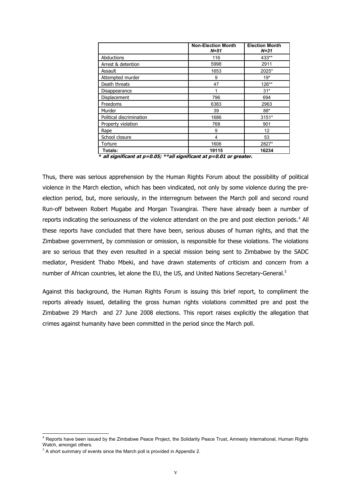|                          | <b>Non-Election Month</b><br>$N = 51$ | <b>Election Month</b><br>$N = 31$ |
|--------------------------|---------------------------------------|-----------------------------------|
| Abductions               | 116                                   | 433**                             |
| Arrest & detention       | 5998                                  | 2911                              |
| Assault                  | 1653                                  | 2025*                             |
| Attempted murder         | 9                                     | $19*$                             |
| Death threats            | 47                                    | 126**                             |
| Disappearance            | 1                                     | $31*$                             |
| Displacement             | 796                                   | 694                               |
| Freedoms                 | 6383                                  | 2963                              |
| Murder                   | 39                                    | $88*$                             |
| Political discrimination | 1686                                  | $3151*$                           |
| Property violation       | 768                                   | 901                               |
| Rape                     | 9                                     | 12                                |
| School closure           | 4                                     | 53                                |
| Torture                  | 1606                                  | 2827*                             |
| Totals:                  | 19115                                 | 16234                             |

**\* all significant at p=0.05; \*\*all significant at p=0.01 or greater.**

Thus, there was serious apprehension by the Human Rights Forum about the possibility of political violence in the March election, which has been vindicated, not only by some violence during the preelection period, but, more seriously, in the interregnum between the March poll and second round Run-off between Robert Mugabe and Morgan Tsvangirai. There have already been a number of reports indicating the seriousness of the violence attendant on the pre and post election periods.<sup>[4](#page-4-0)</sup> All these reports have concluded that there have been, serious abuses of human rights, and that the Zimbabwe government, by commission or omission, is responsible for these violations. The violations are so serious that they even resulted in a special mission being sent to Zimbabwe by the SADC mediator, President Thabo Mbeki, and have drawn statements of criticism and concern from a number of African countries, let alone the EU, the US, and United Nations Secretary-General.<sup>[5](#page-4-1)</sup>

Against this background, the Human Rights Forum is issuing this brief report, to compliment the reports already issued, detailing the gross human rights violations committed pre and post the Zimbabwe 29 March and 27 June 2008 elections. This report raises explicitly the allegation that crimes against humanity have been committed in the period since the March poll.

<span id="page-4-0"></span><sup>&</sup>lt;sup>4</sup> Reports have been issued by the Zimbabwe Peace Project, the Solidarity Peace Trust, Amnesty International, Human Rights Watch, amongst others.

<span id="page-4-1"></span> $<sup>5</sup>$  A short summary of events since the March poll is provided in Appendix 2.</sup>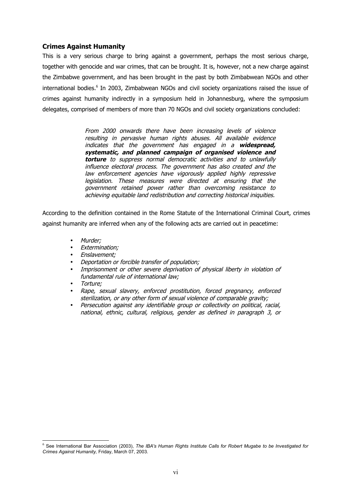## **Crimes Against Humanity**

This is a very serious charge to bring against a government, perhaps the most serious charge, together with genocide and war crimes, that can be brought. It is, however, not a new charge against the Zimbabwe government, and has been brought in the past by both Zimbabwean NGOs and other international bodies.<sup>[6](#page-5-0)</sup> In 2003, Zimbabwean NGOs and civil society organizations raised the issue of crimes against humanity indirectly in a symposium held in Johannesburg, where the symposium delegates, comprised of members of more than 70 NGOs and civil society organizations concluded:

> From 2000 onwards there have been increasing levels of violence resulting in pervasive human rights abuses. All available evidence indicates that the government has engaged in <sup>a</sup> **widespread, systematic, and planned campaign of organised violence and torture** to suppress normal democratic activities and to unlawfully influence electoral process. The government has also created and the law enforcement agencies have vigorously applied highly repressive legislation. These measures were directed at ensuring that the government retained power rather than overcoming resistance to achieving equitable land redistribution and correcting historical iniquities.

According to the definition contained in the Rome Statute of the International Criminal Court, crimes against humanity are inferred when any of the following acts are carried out in peacetime:

- Murder;
- Extermination;
- Enslavement;
- Deportation or forcible transfer of population;
- Imprisonment or other severe deprivation of physical liberty in violation of fundamental rule of international law;
- Torture;
- Rape, sexual slavery, enforced prostitution, forced pregnancy, enforced sterilization, or any other form of sexual violence of comparable gravity;
- Persecution against any identifiable group or collectivity on political, racial, national, ethnic, cultural, religious, gender as defined in paragraph 3, or

<span id="page-5-0"></span><sup>6</sup> See International Bar Association (2003), *The IBA's Human Rights Institute Calls for Robert Mugabe to be Investigated for Crimes Against Humanity,* Friday, March 07, 2003*.*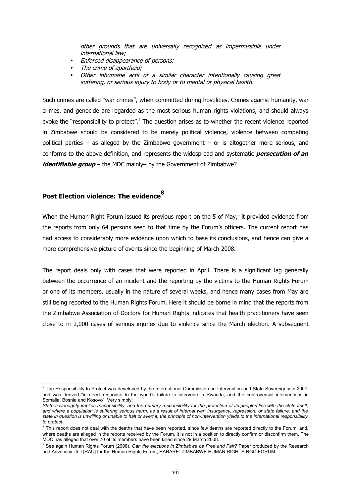other grounds that are universally recognized as impermissible under international law;

- Enforced disappearance of persons;
- The crime of apartheid;
- Other inhumane acts of <sup>a</sup> similar character intentionally causing great suffering, or serious injury to body or to mental or physical health.

Such crimes are called "war crimes", when committed during hostilities. Crimes against humanity, war crimes, and genocide are regarded as the most serious human rights violations, and should always evoke the "responsibility to protect".<sup>[7](#page-6-0)</sup> The question arises as to whether the recent violence reported in Zimbabwe should be considered to be merely political violence, violence between competing political parties – as alleged by the Zimbabwe government – or is altogether more serious, and conforms to the above definition, and represents the widespread and systematic **persecution of an** *identifiable group* – the MDC mainly– by the Government of Zimbabwe?

## **Post Election violence: The evidence[8](#page-6-1)**

When the Human Right Forum issued its previous report on the 5 of May, $9$  it provided evidence from the reports from only 64 persons seen to that time by the Forum's officers. The current report has had access to considerably more evidence upon which to base its conclusions, and hence can give a more comprehensive picture of events since the beginning of March 2008.

The report deals only with cases that were reported in April. There is a significant lag generally between the occurrence of an incident and the reporting by the victims to the Human Rights Forum or one of its members, usually in the nature of several weeks, and hence many cases from May are still being reported to the Human Rights Forum. Here it should be borne in mind that the reports from the Zimbabwe Association of Doctors for Human Rights indicates that health practitioners have seen close to in 2,000 cases of serious injuries due to violence since the March election. A subsequent

<span id="page-6-0"></span> $^7$  The Responsibility to Protect was developed by the International Commission on Intervention and State Sovereignty in 2001, and was derived "in direct response to the world's failure to intervene in Rwanda, and the controversial interventions in Somalia, Bosnia and Kosovo". Very simply:

*State sovereignty implies responsibility, and the primary responsibility for the protection of its peoples lies with the state itself; and where a population is suffering serious harm, as a result of internal war, insurgency, repression, or state failure, and the state in question is unwilling or unable to halt or avert it, the principle of non-intervention yields to the international responsibility to protect.*

<span id="page-6-1"></span> $8$  This report does not deal with the deaths that have been reported, since few deaths are reported directly to the Forum, and, where deaths are alleged in the reports received by the Forum, it is not in a position to directly confirm or disconfirm them. The MDC has alleged that over 70 of its members have been killed since 29 March 2008.

<span id="page-6-2"></span><sup>9</sup> See again Human Rights Forum (2008), *Can the elections in Zimbabwe be Free and Fair?* Paper produced by the Research and Advocacy Unit [RAU] for the Human Rights Forum, HARARE: ZIMBABWE HUMAN RIGHTS NGO FORUM.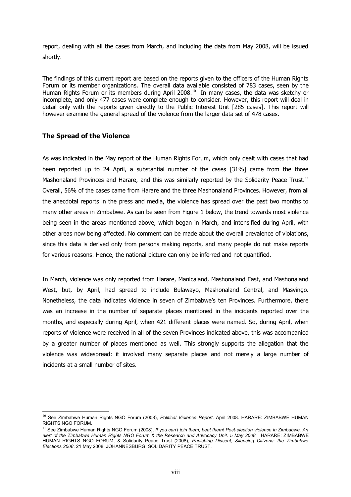report, dealing with all the cases from March, and including the data from May 2008, will be issued shortly.

The findings of this current report are based on the reports given to the officers of the Human Rights Forum or its member organizations. The overall data available consisted of 783 cases, seen by the Human Rights Forum or its members during April 2008.<sup>[10](#page-7-0)</sup> In many cases, the data was sketchy or incomplete, and only 477 cases were complete enough to consider. However, this report will deal in detail only with the reports given directly to the Public Interest Unit [285 cases]. This report will however examine the general spread of the violence from the larger data set of 478 cases.

## **The Spread of the Violence**

As was indicated in the May report of the Human Rights Forum, which only dealt with cases that had been reported up to 24 April, a substantial number of the cases [31%] came from the three Mashonaland Provinces and Harare, and this was similarly reported by the Solidarity Peace Trust.<sup>[11](#page-7-1)</sup> Overall, 56% of the cases came from Harare and the three Mashonaland Provinces. However, from all the anecdotal reports in the press and media, the violence has spread over the past two months to many other areas in Zimbabwe. As can be seen from Figure 1 below, the trend towards most violence being seen in the areas mentioned above, which began in March, and intensified during April, with other areas now being affected. No comment can be made about the overall prevalence of violations, since this data is derived only from persons making reports, and many people do not make reports for various reasons. Hence, the national picture can only be inferred and not quantified.

In March, violence was only reported from Harare, Manicaland, Mashonaland East, and Mashonaland West, but, by April, had spread to include Bulawayo, Mashonaland Central, and Masvingo. Nonetheless, the data indicates violence in seven of Zimbabwe's ten Provinces. Furthermore, there was an increase in the number of separate places mentioned in the incidents reported over the months, and especially during April, when 421 different places were named. So, during April, when reports of violence were received in all of the seven Provinces indicated above, this was accompanied by a greater number of places mentioned as well. This strongly supports the allegation that the violence was widespread: it involved many separate places and not merely a large number of incidents at a small number of sites.

<span id="page-7-0"></span><sup>10</sup> See Zimbabwe Human Rights NGO Forum (2008), *Political Violence Report.* April 2008. HARARE: ZIMBABWE HUMAN RIGHTS NGO FORUM.

<span id="page-7-1"></span><sup>&</sup>lt;sup>11</sup> See Zimbabwe Human Rights NGO Forum (2008), *If you can't join them, beat them! Post-election violence in Zimbabwe. An* alert of the Zimbabwe Human Rights NGO Forum & the Research and Advocacy Unit. 5 May 2008. HARARE: ZIMBABWE HUMAN RIGHTS NGO FORUM, & Solidarity Peace Trust (2008), *Punishing Dissent, Silencing Citizens: the Zimbabwe Elections 2008*. 21 May 2008. JOHANNESBURG: SOLIDARITY PEACE TRUST.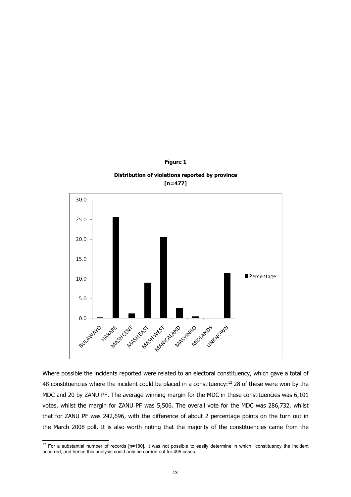

**Figure 1**

Where possible the incidents reported were related to an electoral constituency, which gave a total of 48 constituencies where the incident could be placed in a constituency:<sup>[12](#page-8-0)</sup> 28 of these were won by the MDC and 20 by ZANU PF. The average winning margin for the MDC in these constituencies was 6,101 votes, whilst the margin for ZANU PF was 5,506. The overall vote for the MDC was 286,732, whilst that for ZANU PF was 242,696, with the difference of about 2 percentage points on the turn out in the March 2008 poll. It is also worth noting that the majority of the constituencies came from the

<span id="page-8-0"></span> $\frac{12}{12}$  For a substantial number of records [n=180], it was not possible to easily determine in which constituency the incident occurred, and hence this analysis could only be carried out for 495 cases.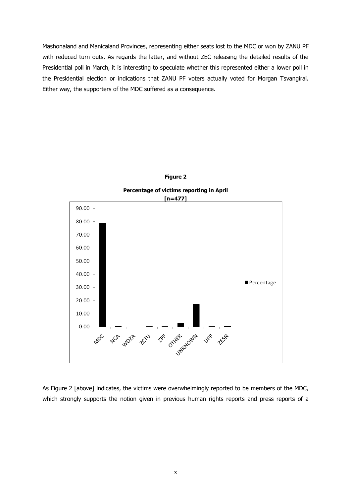Mashonaland and Manicaland Provinces, representing either seats lost to the MDC or won by ZANU PF with reduced turn outs. As regards the latter, and without ZEC releasing the detailed results of the Presidential poll in March, it is interesting to speculate whether this represented either a lower poll in the Presidential election or indications that ZANU PF voters actually voted for Morgan Tsvangirai. Either way, the supporters of the MDC suffered as a consequence.



**Figure 2**

As Figure 2 [above] indicates, the victims were overwhelmingly reported to be members of the MDC, which strongly supports the notion given in previous human rights reports and press reports of a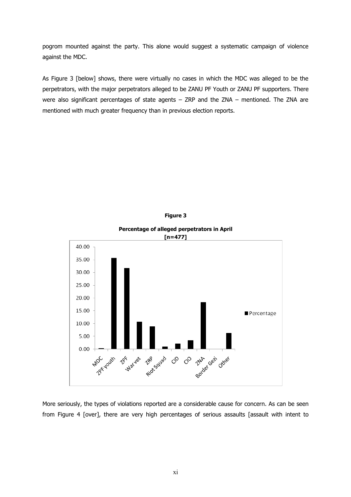pogrom mounted against the party. This alone would suggest a systematic campaign of violence against the MDC.

As Figure 3 [below] shows, there were virtually no cases in which the MDC was alleged to be the perpetrators, with the major perpetrators alleged to be ZANU PF Youth or ZANU PF supporters. There were also significant percentages of state agents – ZRP and the ZNA – mentioned. The ZNA are mentioned with much greater frequency than in previous election reports.





**Percentage of alleged perpetrators in April**

More seriously, the types of violations reported are a considerable cause for concern. As can be seen from Figure 4 [over], there are very high percentages of serious assaults [assault with intent to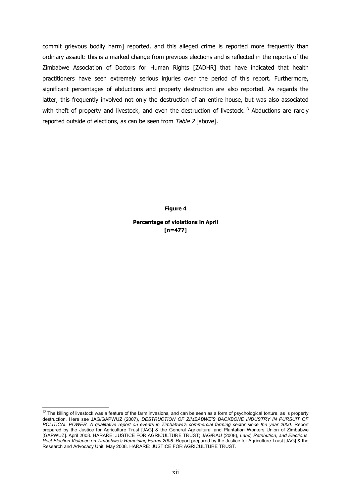commit grievous bodily harm] reported, and this alleged crime is reported more frequently than ordinary assault: this is a marked change from previous elections and is reflected in the reports of the Zimbabwe Association of Doctors for Human Rights [ZADHR] that have indicated that health practitioners have seen extremely serious injuries over the period of this report. Furthermore, significant percentages of abductions and property destruction are also reported. As regards the latter, this frequently involved not only the destruction of an entire house, but was also associated with theft of property and livestock, and even the destruction of livestock.<sup>[13](#page-11-0)</sup> Abductions are rarely reported outside of elections, as can be seen from Table 2 [above].

**Figure 4**

**Percentage of violations in April [n=477]**

<span id="page-11-0"></span> $13$  The killing of livestock was a feature of the farm invasions, and can be seen as a form of psychological torture, as is property destruction. Here see JAG/GAPWUZ (2007), *DESTRUCTION OF ZIMBABWE'S BACKBONE INDUSTRY IN PURSUIT OF POLITICAL POWER. A qualitative report on events in Zimbabwe's commercial farming sector since the year 2000.* Report prepared by the Justice for Agriculture Trust [JAG] & the General Agricultural and Plantation Workers Union of Zimbabwe [GAPWUZ]. April 2008. HARARE: JUSTICE FOR AGRICULTURE TRUST; JAG/RAU (2008), *Land, Retribution, and Elections*. *Post Election Violence on Zimbabwe's Remaining Farms 2008.* Report prepared by the Justice for Agriculture Trust [JAG] & the Research and Advocacy Unit. May 2008. HARARE: JUSTICE FOR AGRICULTURE TRUST.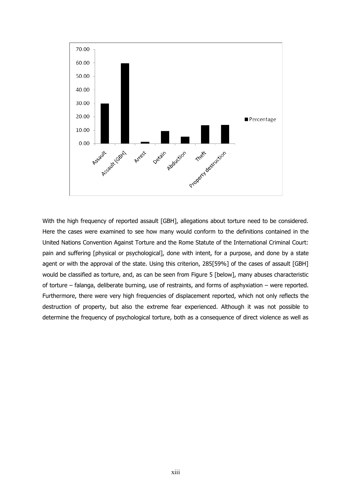

With the high frequency of reported assault [GBH], allegations about torture need to be considered. Here the cases were examined to see how many would conform to the definitions contained in the United Nations Convention Against Torture and the Rome Statute of the International Criminal Court: pain and suffering [physical or psychological], done with intent, for a purpose, and done by a state agent or with the approval of the state. Using this criterion, 285[59%] of the cases of assault [GBH] would be classified as torture, and, as can be seen from Figure 5 [below], many abuses characteristic of torture – falanga, deliberate burning, use of restraints, and forms of asphyxiation – were reported. Furthermore, there were very high frequencies of displacement reported, which not only reflects the destruction of property, but also the extreme fear experienced. Although it was not possible to determine the frequency of psychological torture, both as a consequence of direct violence as well as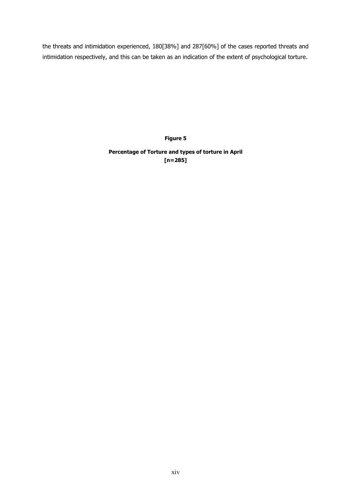the threats and intimidation experienced, 180[38%] and 287[60%] of the cases reported threats and intimidation respectively, and this can be taken as an indication of the extent of psychological torture.

**Figure 5**

**Percentage of Torture and types of torture in April [n=285]**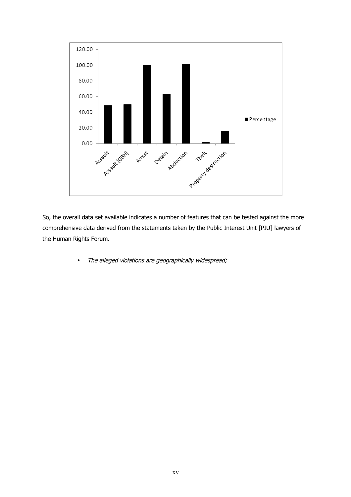

So, the overall data set available indicates a number of features that can be tested against the more comprehensive data derived from the statements taken by the Public Interest Unit [PIU] lawyers of the Human Rights Forum.

• The alleged violations are geographically widespread;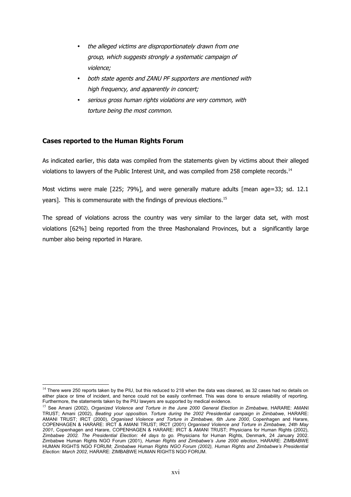- the alleged victims are disproportionately drawn from one group, which suggests strongly a systematic campaign of violence;
- both state agents and ZANU PF supporters are mentioned with high frequency, and apparently in concert;
- serious gross human rights violations are very common, with torture being the most common.

## **Cases reported to the Human Rights Forum**

As indicated earlier, this data was compiled from the statements given by victims about their alleged violations to lawyers of the Public Interest Unit, and was compiled from 258 complete records.<sup>[14](#page-15-0)</sup>

Most victims were male [225; 79%], and were generally mature adults [mean age=33; sd. 12.1 years]. This is commensurate with the findings of previous elections.<sup>[15](#page-15-1)</sup>

The spread of violations across the country was very similar to the larger data set, with most violations [62%] being reported from the three Mashonaland Provinces, but a significantly large number also being reported in Harare.

<span id="page-15-0"></span> $14$  There were 250 reports taken by the PIU, but this reduced to 218 when the data was cleaned, as 32 cases had no details on either place or time of incident, and hence could not be easily confirmed. This was done to ensure reliability of reporting. Furthermore, the statements taken by the PIU lawyers are supported by medical evidence.

<span id="page-15-1"></span><sup>15</sup> See Amani (2002), *Organized Violence and Torture in the June 2000 General Election in Zimbabwe*, HARARE: AMANI TRUST; Amani (2002), *Beating your opposition. Torture during the 2002 Presidential campaign in Zimbabwe*, HARARE: AMANI TRUST; IRCT (2000), *Organised Violence and Torture in Zimbabwe, 6th June 2000*, Copenhagen and Harare, COPENHAGEN & HARARE: IRCT & AMANI TRUST; IRCT (2001) *Organised Violence and Torture in Zimbabwe, 24th May 2001*, Copenhagen and Harare, COPENHAGEN & HARARE: IRCT & AMANI TRUST; Physicians for Human Rights (2002), *Zimbabwe 2002. The Presidential Election: 44 days to go.* Physicians for Human Rights, Denmark, 24 January 2002. Zimbabwe Human Rights NGO Forum (2001), *Human Rights and Zimbabwe's June 2000 election*, HARARE: ZIMBABWE HUMAN RIGHTS NGO FORUM; *Zimbabwe Human Rights NGO Forum (2002), Human Rights and Zimbabwe's Presidential Election: March 2002*, HARARE: ZIMBABWE HUMAN RIGHTS NGO FORUM.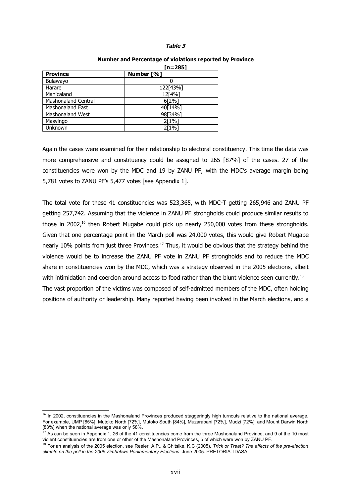#### **Table 3**

|                            | $[n=285]$  |
|----------------------------|------------|
| <b>Province</b>            | Number [%] |
| <b>Bulawayo</b>            |            |
| Harare                     | 122[43%]   |
| Manicaland                 | 12[4%]     |
| <b>Mashonaland Central</b> | 6[2%]      |
| <b>Mashonaland East</b>    | 40[14%]    |
| <b>Mashonaland West</b>    | 98[34%]    |
| Masvingo                   | $2[1\%]$   |
| Unknown                    | $2[1\%]$   |

#### **Number and Percentage of violations reported by Province**

Again the cases were examined for their relationship to electoral constituency. This time the data was more comprehensive and constituency could be assigned to 265 [87%] of the cases. 27 of the constituencies were won by the MDC and 19 by ZANU PF, with the MDC's average margin being 5,781 votes to ZANU PF's 5,477 votes [see Appendix 1].

The total vote for these 41 constituencies was 523,365, with MDC-T getting 265,946 and ZANU PF getting 257,742. Assuming that the violence in ZANU PF strongholds could produce similar results to those in 2002.<sup>[16](#page-16-0)</sup> then Robert Mugabe could pick up nearly 250,000 votes from these strongholds. Given that one percentage point in the March poll was 24,000 votes, this would give Robert Mugabe nearly 10% points from just three Provinces.<sup>[17](#page-16-1)</sup> Thus, it would be obvious that the strategy behind the violence would be to increase the ZANU PF vote in ZANU PF strongholds and to reduce the MDC share in constituencies won by the MDC, which was a strategy observed in the 2005 elections, albeit with intimidation and coercion around access to food rather than the blunt violence seen currently.<sup>[18](#page-16-2)</sup> The vast proportion of the victims was composed of self-admitted members of the MDC, often holding positions of authority or leadership. Many reported having been involved in the March elections, and a

<span id="page-16-0"></span><sup>&</sup>lt;sup>16</sup> In 2002, constituencies in the Mashonaland Provinces produced staggeringly high turnouts relative to the national average. For example, UMP [85%], Mutoko North [72%], Mutoko South [84%], Muzarabani [72%], Mudzi [72%], and Mount Darwin North [83%] when the national average was only 58%.

<span id="page-16-1"></span> $17$  As can be seen in Appendix 1, 26 of the 41 constituencies come from the three Mashonaland Province, and 9 of the 10 most violent constituencies are from one or other of the Mashonaland Provinces, 5 of which were won by ZANU PF.

<span id="page-16-2"></span><sup>18</sup> For an analysis of the 2005 election, see Reeler, A.P., & Chitsike, K.C (2005), *Trick or Treat? The effects of the pre-election climate on the poll in the 2005 Zimbabwe Parliamentary Elections*. June 2005. PRETORIA: IDASA.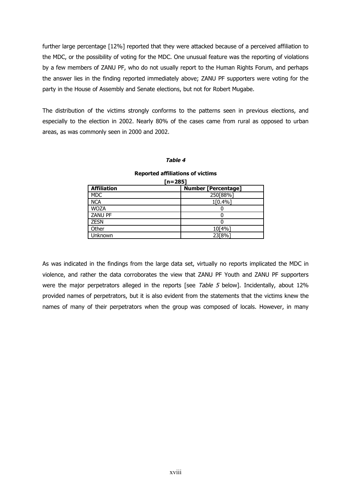further large percentage [12%] reported that they were attacked because of a perceived affiliation to the MDC, or the possibility of voting for the MDC. One unusual feature was the reporting of violations by a few members of ZANU PF, who do not usually report to the Human Rights Forum, and perhaps the answer lies in the finding reported immediately above; ZANU PF supporters were voting for the party in the House of Assembly and Senate elections, but not for Robert Mugabe.

The distribution of the victims strongly conforms to the patterns seen in previous elections, and especially to the election in 2002. Nearly 80% of the cases came from rural as opposed to urban areas, as was commonly seen in 2000 and 2002.

#### **Table 4**

| . – ـ              |                            |  |  |  |  |
|--------------------|----------------------------|--|--|--|--|
| <b>Affiliation</b> | <b>Number [Percentage]</b> |  |  |  |  |
| <b>MDC</b>         | 250[88%]                   |  |  |  |  |
| <b>NCA</b>         | 1[0.4%]                    |  |  |  |  |
| <b>WOZA</b>        |                            |  |  |  |  |
| <b>ZANU PF</b>     |                            |  |  |  |  |
| <b>ZESN</b>        |                            |  |  |  |  |
| Other              | 10[4%]                     |  |  |  |  |
| Unknown            | 23[8%]                     |  |  |  |  |
|                    |                            |  |  |  |  |

#### **Reported affiliations of victims [n=285]**

As was indicated in the findings from the large data set, virtually no reports implicated the MDC in violence, and rather the data corroborates the view that ZANU PF Youth and ZANU PF supporters were the major perpetrators alleged in the reports [see Table 5 below]. Incidentally, about 12% provided names of perpetrators, but it is also evident from the statements that the victims knew the names of many of their perpetrators when the group was composed of locals. However, in many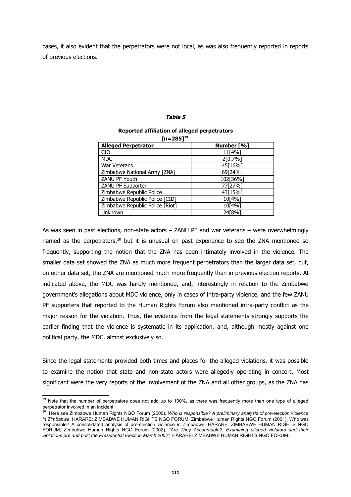cases, it also evident that the perpetrators were not local, as was also frequently reported in reports of previous elections.

#### **Table 5**

#### **Reported affiliation of alleged perpetrators [n=285][19](#page-18-0)**

| 111–20J I                       |            |
|---------------------------------|------------|
| <b>Alleged Perpetrator</b>      | Number [%] |
| <b>CIO</b>                      | 11[4%]     |
| <b>MDC</b>                      | 2[0.7%]    |
| <b>War Veterans</b>             | 45[16%]    |
| Zimbabwe National Army [ZNA]    | 69[24%]    |
| ZANU PF Youth                   | 102[36%]   |
| ZANU PF Supporter               | 77[27%]    |
| Zimbabwe Republic Police        | 43[15%]    |
| Zimbabwe Republic Police [CID]  | 10[4%]     |
| Zimbabwe Republic Police [Riot] | 10[4%]     |
| Unknown                         | 24[8%]     |

As was seen in past elections, non-state actors – ZANU PF and war veterans – were overwhelmingly named as the perpetrators,<sup>[20](#page-18-1)</sup> but it is unusual on past experience to see the ZNA mentioned so frequently, supporting the notion that the ZNA has been intimately involved in the violence. The smaller data set showed the ZNA as much more frequent perpetrators than the larger data set, but, on either data set, the ZNA are mentioned much more frequently than in previous election reports. At indicated above, the MDC was hardly mentioned, and, interestingly in relation to the Zimbabwe government's allegations about MDC violence, only in cases of intra-party violence, and the few ZANU PF supporters that reported to the Human Rights Forum also mentioned intra-party conflict as the major reason for the violation. Thus, the evidence from the legal statements strongly supports the earlier finding that the violence is systematic in its application, and, although mostly against one political party, the MDC, almost exclusively so.

Since the legal statements provided both times and places for the alleged violations, it was possible to examine the notion that state and non-state actors were allegedly operating in concert. Most significant were the very reports of the involvement of the ZNA and all other groups, as the ZNA has

<span id="page-18-0"></span><sup>&</sup>lt;sup>19</sup> Note that the number of perpetrators does not add up to 100%, as there was frequently more than one type of alleged perpetrator involved in an incident.

<span id="page-18-1"></span><sup>20</sup> Here see Zimbabwe Human Rights NGO Forum (2000), *Who is responsible? A preliminary analysis of pre-election violence in Zimbabwe*, HARARE: ZIMBABWE HUMAN RIGHTS NGO FORUM; Zimbabwe Human Rights NGO Forum (2001), Who was responsible? A consolidated analysis of pre-election violence in Zimbabwe, HARARE: ZIMBABWE HUMAN RIGHTS NGO FORUM; Zimbabwe Human Rights NGO Forum (2002), *"Are They Accountable?: Examining alleged violators and their violations pre and post the Presidential Election March 2002",* HARARE: ZIMBABWE HUMAN RIGHTS NGO FORUM.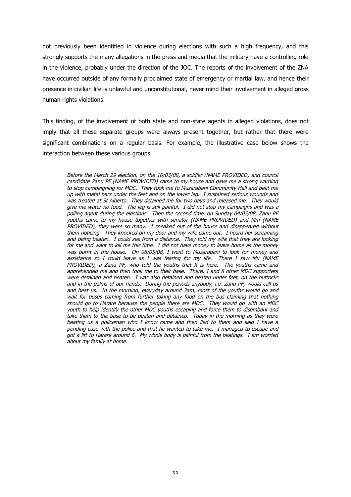not previously been identified in violence during elections with such a high frequency, and this strongly supports the many allegations in the press and media that the military have a controlling role in the violence, probably under the direction of the JOC. The reports of the involvement of the ZNA have occurred outside of any formally proclaimed state of emergency or martial law, and hence their presence in civilian life is unlawful and unconstitutional, never mind their involvement in alleged gross human rights violations.

This finding, of the involvement of both state and non-state agents in alleged violations, does not imply that all these separate groups were always present together, but rather that there were significant combinations on a regular basis. For example, the illustrative case below shows the interaction between these various groups.

Before the March 29 election, on the 16/03/08, a soldier (NAME PROVIDED) and council candidate Zanu PF (NAME PROVIDED) came to my house and gave me a strong warning to stop campaigning for MDC. They took me to Muzarabani Community Hall and beat me up with metal bars under the feet and on the lower leg. I sustained serious wounds and was treated at St Alberts. They detained me for two days and released me. They would give me water no food. The leg is still painful. I did not stop my campaigns and was a polling agent during the elections. Then the second time, on Sunday 04/05/08, Zanu PF youths came to my house together with senator (NAME PROVIDED) and Mm (NAME PROVIDED), they were so many. I sneaked out of the house and disappeared without them noticing. They knocked on my door and my wife came out. I heard her screaming and being beaten. I could see from a distance. They told my wife that they are looking for me and want to kill me this time. I did not have money to leave home as the money was burnt in the house. On 06/05/08, I went to Muzarabani to look for money and assistance so I could leave as I was fearing for my life. There I saw Mu (NAME PROVIDED), a Zanu PF, who told the youths that  $X$  is here. The youths came and apprehended me and then took me to their base. There, I and 8 other MDC supporters were detained and beaten. I was also detained and beaten under feet, on the buttocks and in the palms of our hands. During the periods anybody, i.e. Zanu PF, would call us and beat us. In the morning, everyday around 3am, most of the youths would go and wait for buses coming from further taking any food on the bus claiming that nothing should go to Harare because the people there are MDC. They would go with an MDC youth to help identify the other MDC youths escaping and force them to disembark and take them to the base to be beaten and detained. Today in the morning as they were beating us a policeman who I know came and then lied to them and said I have a pending case with the police and that he wanted to take me. I managed to escape and got a lift to Harare around 6. My whole body is painful from the beatings. I am worried about my family at home.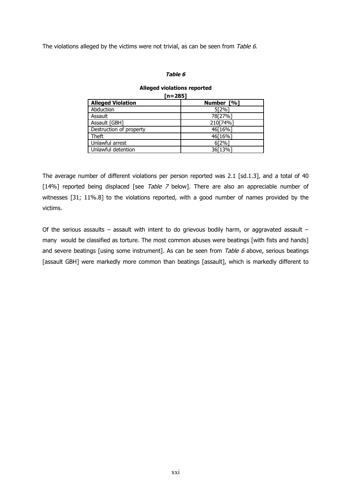The violations alleged by the victims were not trivial, as can be seen from Table 6.

### **Table 6**

#### **Alleged violations reported [n=285]**

| n= 285                   |            |  |  |  |  |
|--------------------------|------------|--|--|--|--|
| <b>Alleged Violation</b> | Number [%] |  |  |  |  |
| Abduction                | 5[2%]      |  |  |  |  |
| Assault                  | 78[27%]    |  |  |  |  |
| Assault [GBH]            | 210[74%]   |  |  |  |  |
| Destruction of property  | 46[16%]    |  |  |  |  |
| Theft                    | 46[16%]    |  |  |  |  |
| Unlawful arrest          | 6[2%]      |  |  |  |  |
| Unlawful detention       | 36[13%]    |  |  |  |  |

The average number of different violations per person reported was 2.1 [sd.1.3], and a total of 40 [14%] reported being displaced [see Table 7 below]. There are also an appreciable number of witnesses [31; 11%.8] to the violations reported, with a good number of names provided by the victims.

Of the serious assaults – assault with intent to do grievous bodily harm, or aggravated assault – many would be classified as torture. The most common abuses were beatings [with fists and hands] and severe beatings [using some instrument]. As can be seen from Table  $6$  above, serious beatings [assault GBH] were markedly more common than beatings [assault], which is markedly different to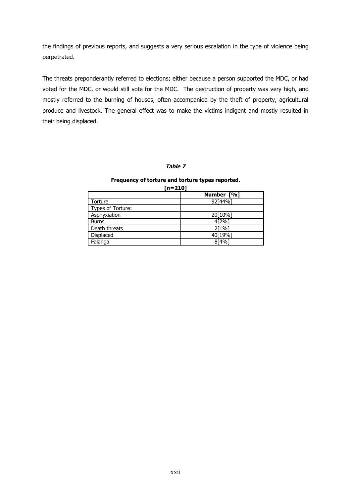the findings of previous reports, and suggests a very serious escalation in the type of violence being perpetrated.

The threats preponderantly referred to elections; either because a person supported the MDC, or had voted for the MDC, or would still vote for the MDC. The destruction of property was very high, and mostly referred to the burning of houses, often accompanied by the theft of property, agricultural produce and livestock. The general effect was to make the victims indigent and mostly resulted in their being displaced.

## **Table 7**

#### **Frequency of torture and torture types reported.**

| $[n=210]$         |            |  |  |  |
|-------------------|------------|--|--|--|
|                   | Number [%] |  |  |  |
| Torture           | 92[44%]    |  |  |  |
| Types of Torture: |            |  |  |  |
| Asphyxiation      | 20[10%]    |  |  |  |
| <b>Burns</b>      | 4[2%]      |  |  |  |
| Death threats     | 2[1%]      |  |  |  |
| Displaced         | 40[19%]    |  |  |  |
| Falanga           | 8[4%]      |  |  |  |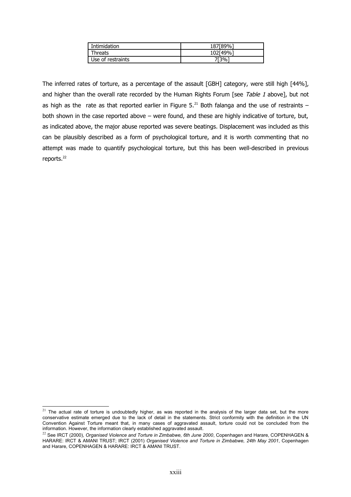| Intimidation      | 187「89%  |
|-------------------|----------|
| <b>Threats</b>    | 102[49%] |
| Use of restraints | 7ſ3%     |

The inferred rates of torture, as a percentage of the assault [GBH] category, were still high [44%], and higher than the overall rate recorded by the Human Rights Forum [see Table 1 above], but not as high as the rate as that reported earlier in Figure 5.<sup>[21](#page-22-0)</sup> Both falanga and the use of restraints – both shown in the case reported above – were found, and these are highly indicative of torture, but, as indicated above, the major abuse reported was severe beatings. Displacement was included as this can be plausibly described as a form of psychological torture, and it is worth commenting that no attempt was made to quantify psychological torture, but this has been well-described in previous reports.<sup>[22](#page-22-1)</sup>

<span id="page-22-0"></span> $21$  The actual rate of torture is undoubtedly higher, as was reported in the analysis of the larger data set, but the more conservative estimate emerged due to the lack of detail in the statements. Strict conformity with the definition in the UN Convention Against Torture meant that, in many cases of aggravated assault, torture could not be concluded from the information. However, the information clearly established aggravated assault.

<span id="page-22-1"></span><sup>&</sup>lt;sup>22</sup> See IRCT (2000), *Organised Violence and Torture in Zimbabwe, 6th June 2000*, Copenhagen and Harare, COPENHAGEN & HARARE: IRCT & AMANI TRUST; IRCT (2001) *Organised Violence and Torture in Zimbabwe, 24th May 2001*, Copenhagen and Harare, COPENHAGEN & HARARE: IRCT & AMANI TRUST.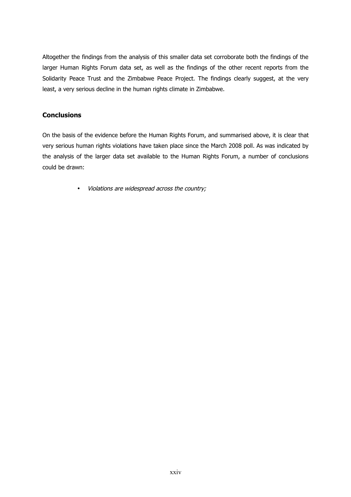Altogether the findings from the analysis of this smaller data set corroborate both the findings of the larger Human Rights Forum data set, as well as the findings of the other recent reports from the Solidarity Peace Trust and the Zimbabwe Peace Project. The findings clearly suggest, at the very least, a very serious decline in the human rights climate in Zimbabwe.

## **Conclusions**

On the basis of the evidence before the Human Rights Forum, and summarised above, it is clear that very serious human rights violations have taken place since the March 2008 poll. As was indicated by the analysis of the larger data set available to the Human Rights Forum, a number of conclusions could be drawn:

• Violations are widespread across the country;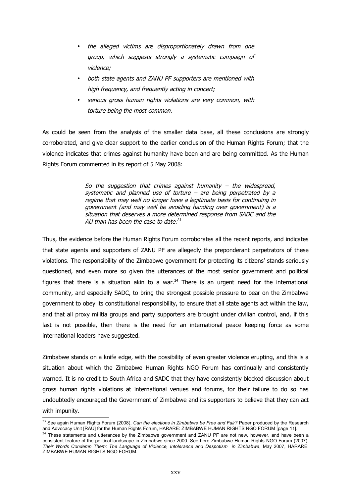- the alleged victims are disproportionately drawn from one group, which suggests strongly <sup>a</sup> systematic campaign of violence;
- both state agents and ZANU PF supporters are mentioned with high frequency, and frequently acting in concert;
- serious gross human rights violations are very common, with torture being the most common.

As could be seen from the analysis of the smaller data base, all these conclusions are strongly corroborated, and give clear support to the earlier conclusion of the Human Rights Forum; that the violence indicates that crimes against humanity have been and are being committed. As the Human Rights Forum commented in its report of 5 May 2008:

> So the suggestion that crimes against humanity  $-$  the widespread, systematic and planned use of torture  $-$  are being perpetrated by a regime that may well no longer have a legitimate basis for continuing in government (and may well be avoiding handing over government) is a situation that deserves a more determined response from SADC and the AU than has been the case to date. $^{23}$  $^{23}$  $^{23}$

Thus, the evidence before the Human Rights Forum corroborates all the recent reports, and indicates that state agents and supporters of ZANU PF are allegedly the preponderant perpetrators of these violations. The responsibility of the Zimbabwe government for protecting its citizens' stands seriously questioned, and even more so given the utterances of the most senior government and political figures that there is a situation akin to a war. $^{24}$  $^{24}$  $^{24}$  There is an urgent need for the international community, and especially SADC, to bring the strongest possible pressure to bear on the Zimbabwe government to obey its constitutional responsibility, to ensure that all state agents act within the law, and that all proxy militia groups and party supporters are brought under civilian control, and, if this last is not possible, then there is the need for an international peace keeping force as some international leaders have suggested.

Zimbabwe stands on a knife edge, with the possibility of even greater violence erupting, and this is a situation about which the Zimbabwe Human Rights NGO Forum has continually and consistently warned. It is no credit to South Africa and SADC that they have consistently blocked discussion about gross human rights violations at international venues and forums, for their failure to do so has undoubtedly encouraged the Government of Zimbabwe and its supporters to believe that they can act with impunity.

<span id="page-24-0"></span><sup>&</sup>lt;sup>23</sup> See again Human Rights Forum (2008), *Can the elections in Zimbabwe be Free and Fair*? Paper produced by the Research and Advocacy Unit [RAU] for the Human Rights Forum, HARARE: ZIMBABWE HUMAN RIGHTS NGO FORUM [page 11].

<span id="page-24-1"></span><sup>&</sup>lt;sup>24</sup> These statements and utterances by the Zimbabwe government and ZANU PF are not new, however, and have been a consistent feature of the political landscape in Zimbabwe since 2000. See here Zimbabwe Human Rights NGO Forum (2007), *Their Words Condemn Them: The Language of Violence, Intolerance and Despotism in Zimbabwe*, May 2007, HARARE: ZIMBABWE HUMAN RIGHTS NGO FORUM.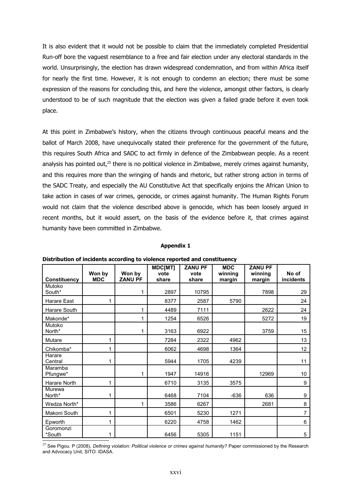It is also evident that it would not be possible to claim that the immediately completed Presidential Run-off bore the vaguest resemblance to a free and fair election under any electoral standards in the world. Unsurprisingly, the election has drawn widespread condemnation, and from within Africa itself for nearly the first time. However, it is not enough to condemn an election; there must be some expression of the reasons for concluding this, and here the violence, amongst other factors, is clearly understood to be of such magnitude that the election was given a failed grade before it even took place.

At this point in Zimbabwe's history, when the citizens through continuous peaceful means and the ballot of March 2008, have unequivocally stated their preference for the government of the future, this requires South Africa and SADC to act firmly in defence of the Zimbabwean people. As a recent analysis has pointed out,<sup>[25](#page-25-0)</sup> there is no political violence in Zimbabwe, merely crimes against humanity, and this requires more than the wringing of hands and rhetoric, but rather strong action in terms of the SADC Treaty, and especially the AU Constitutive Act that specifically enjoins the African Union to take action in cases of war crimes, genocide, or crimes against humanity. The Human Rights Forum would not claim that the violence described above is genocide, which has been loosely argued in recent months, but it would assert, on the basis of the evidence before it, that crimes against humanity have been committed in Zimbabwe.

#### **Appendix 1**

|                     | Won by     | Won by         | MDC[MT]<br>vote | <b>ZANU PF</b><br>vote | <b>MDC</b><br>winning | <b>ZANU PF</b><br>winning | No of     |
|---------------------|------------|----------------|-----------------|------------------------|-----------------------|---------------------------|-----------|
| <b>Constituency</b> | <b>MDC</b> | <b>ZANU PF</b> | share           | share                  | margin                | margin                    | incidents |
| Mutoko<br>South*    |            | 1              | 2897            | 10795                  |                       | 7898                      | 29        |
| Harare East         | 1          |                | 8377            | 2587                   | 5790                  |                           | 24        |
| Harare South        |            | $\mathbf{1}$   | 4489            | 7111                   |                       | 2622                      | 24        |
| Makonde*            |            | 1              | 1254            | 6526                   |                       | 5272                      | 19        |
| Mutoko<br>North*    |            | 1              | 3163            | 6922                   |                       | 3759                      | 15        |
| Mutare              | 1          |                | 7284            | 2322                   | 4962                  |                           | 13        |
| Chikomba*           | 1          |                | 6062            | 4698                   | 1364                  |                           | 12        |
| Harare<br>Central   | 1          |                | 5944            | 1705                   | 4239                  |                           | 11        |
| Maramba<br>Pfungwe* |            | 1              | 1947            | 14916                  |                       | 12969                     | 10        |
| Harare North        | 1          |                | 6710            | 3135                   | 3575                  |                           | 9         |
| Murewa<br>North*    | 1          |                | 6468            | 7104                   | $-636$                | 636                       | 9         |
| Wedza North*        |            | 1              | 3586            | 6267                   |                       | 2681                      | 8         |
| Makoni South        | 1          |                | 6501            | 5230                   | 1271                  |                           | 7         |
| Epworth             | 1          |                | 6220            | 4758                   | 1462                  |                           | 6         |
| Goromonzi<br>*South | 1          |                | 6456            | 5305                   | 1151                  |                           | 5         |

**Distribution of incidents according to violence reported and constituency**

<span id="page-25-0"></span><sup>25</sup> See Pigou. P (2008), *Defining violation: Political violence or crimes against humanity?* Paper commissioned by the Research and Advocacy Unit, SITO: IDASA.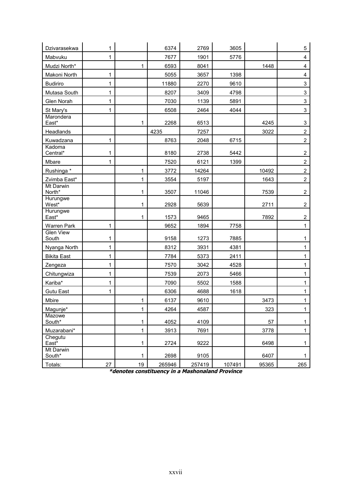| Dzivarasekwa              | 1  |              | 6374   | 2769   | 3605   |       | 5                       |
|---------------------------|----|--------------|--------|--------|--------|-------|-------------------------|
| Mabvuku                   | 1  |              | 7677   | 1901   | 5776   |       | $\overline{\mathbf{4}}$ |
| Mudzi North*              |    | 1            | 6593   | 8041   |        | 1448  | $\overline{\mathbf{4}}$ |
| Makoni North              | 1  |              | 5055   | 3657   | 1398   |       | $\overline{\mathbf{4}}$ |
| <b>Budiriro</b>           | 1  |              | 11880  | 2270   | 9610   |       | 3                       |
| Mutasa South              | 1  |              | 8207   | 3409   | 4798   |       | 3                       |
| Glen Norah                | 1  |              | 7030   | 1139   | 5891   |       | 3                       |
| St Mary's                 | 1  |              | 6508   | 2464   | 4044   |       | 3                       |
| Marondera<br>East*        |    | 1            | 2268   | 6513   |        | 4245  | 3                       |
| Headlands                 |    |              | 4235   | 7257   |        | 3022  | $\overline{c}$          |
| Kuwadzana                 | 1  |              | 8763   | 2048   | 6715   |       | $\overline{c}$          |
| Kadoma<br>Central*        | 1  |              | 8180   | 2738   | 5442   |       | $\overline{c}$          |
| Mbare                     | 1  |              | 7520   | 6121   | 1399   |       | $\overline{c}$          |
| Rushinga *                |    | 1            | 3772   | 14264  |        | 10492 | $\overline{2}$          |
| Zvimba East*              |    | 1            | 3554   | 5197   |        | 1643  | $\overline{2}$          |
| Mt Darwin<br>North*       |    | 1            | 3507   | 11046  |        | 7539  | $\overline{c}$          |
| Hurungwe<br>West*         |    | 1            | 2928   | 5639   |        | 2711  | $\overline{\mathbf{c}}$ |
| Hurungwe<br>East*         |    | 1            | 1573   | 9465   |        | 7892  | $\overline{c}$          |
| Warren Park               | 1  |              | 9652   | 1894   | 7758   |       | 1                       |
| <b>Glen View</b><br>South | 1  |              | 9158   | 1273   | 7885   |       | 1                       |
| Nyanga North              | 1  |              | 8312   | 3931   | 4381   |       | 1                       |
| <b>Bikita East</b>        | 1  |              | 7784   | 5373   | 2411   |       | 1                       |
| Zengeza                   | 1  |              | 7570   | 3042   | 4528   |       | 1                       |
| Chitungwiza               | 1  |              | 7539   | 2073   | 5466   |       | 1                       |
| Kariba*                   | 1  |              | 7090   | 5502   | 1588   |       | 1                       |
| Gutu East                 | 1  |              | 6306   | 4688   | 1618   |       | 1                       |
| Mbire                     |    | 1            | 6137   | 9610   |        | 3473  | 1                       |
| Magunje*                  |    | 1            | 4264   | 4587   |        | 323   | 1                       |
| Mazowe<br>South*          |    | 1            | 4052   | 4109   |        | 57    | $\mathbf{1}$            |
| Muzarabani*               |    | $\mathbf{1}$ | 3913   | 7691   |        | 3778  | $\mathbf{1}$            |
| Chegutu<br>East*          |    | 1            | 2724   | 9222   |        | 6498  | $\mathbf{1}$            |
| Mt Darwin<br>South*       |    | 1            | 2698   | 9105   |        | 6407  | $\mathbf{1}$            |
| Totals:                   | 27 | 19           | 265946 | 257419 | 107491 | 95365 | 265                     |

**\*denotes constituency in a Mashonaland Province**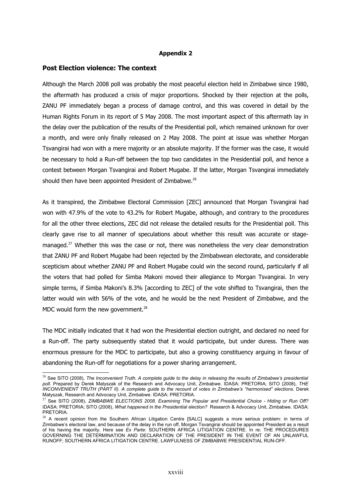## **Appendix 2**

## **Post Election violence: The context**

Although the March 2008 poll was probably the most peaceful election held in Zimbabwe since 1980, the aftermath has produced a crisis of major proportions. Shocked by their rejection at the polls, ZANU PF immediately began a process of damage control, and this was covered in detail by the Human Rights Forum in its report of 5 May 2008. The most important aspect of this aftermath lay in the delay over the publication of the results of the Presidential poll, which remained unknown for over a month, and were only finally released on 2 May 2008. The point at issue was whether Morgan Tsvangirai had won with a mere majority or an absolute majority. If the former was the case, it would be necessary to hold a Run-off between the top two candidates in the Presidential poll, and hence a contest between Morgan Tsvangirai and Robert Mugabe. If the latter, Morgan Tsvangirai immediately should then have been appointed President of Zimbabwe.<sup>[26](#page-27-0)</sup>

As it transpired, the Zimbabwe Electoral Commission [ZEC] announced that Morgan Tsvangirai had won with 47.9% of the vote to 43.2% for Robert Mugabe, although, and contrary to the procedures for all the other three elections, ZEC did not release the detailed results for the Presidential poll. This clearly gave rise to all manner of speculations about whether this result was accurate or stage-managed.<sup>[27](#page-27-1)</sup> Whether this was the case or not, there was nonetheless the very clear demonstration that ZANU PF and Robert Mugabe had been rejected by the Zimbabwean electorate, and considerable scepticism about whether ZANU PF and Robert Mugabe could win the second round, particularly if all the voters that had polled for Simba Makoni moved their allegiance to Morgan Tsvangirai. In very simple terms, if Simba Makoni's 8.3% [according to ZEC] of the vote shifted to Tsvangirai, then the latter would win with 56% of the vote, and he would be the next President of Zimbabwe, and the MDC would form the new government.<sup>[28](#page-27-2)</sup>

The MDC initially indicated that it had won the Presidential election outright, and declared no need for a Run-off. The party subsequently stated that it would participate, but under duress. There was enormous pressure for the MDC to participate, but also a growing constituency arguing in favour of abandoning the Run-off for negotiations for a power sharing arrangement.

<span id="page-27-0"></span><sup>&</sup>lt;sup>26</sup> See SITO (2008), The Inconvenient Truth. A complete guide to the delay in releasing the results of Zimbabwe's presidential *poll.* Prepared by Derek Matyszak of the Research and Advocacy Unit, Zimbabwe. IDASA: PRETORIA; SITO (2008), *THE INCONVENIENT TRUTH (PART II). A complete guide to the recount of votes in Zimbabwe's "harmonised" elections.* Derek Matyszak, Research and Advocacy Unit, Zimbabwe. IDASA: PRETORIA.

<span id="page-27-1"></span><sup>27</sup> See SITO (2008), *ZIMBABWE ELECTIONS 2008. Examining The Popular and Presidential Choice - Hiding or Run Off?* IDASA: PRETORIA; SITO (2008), *What happened in the Presidential election?* Research & Advocacy Unit, Zimbabwe. IDASA: PRETORIA.

<span id="page-27-2"></span><sup>&</sup>lt;sup>28</sup> A recent opinion from the Southern African Litigation Centre [SALC] suggests a more serious problem: in terms of Zimbabwe's electoral law, and because of the delay in the run off, Morgan Tsvangirai should be appointed President as a result of his having the majority. Here see *Ex Parte*: SOUTHERN AFRICA LITIGATION CENTRE. In re: THE PROCEDURES GOVERNING THE DETERMINATION AND DECLARATION OF THE PRESIDENT IN THE EVENT OF AN UNLAWFUL RUNOFF; SOUTHERN AFRICA LITIGATION CENTRE. LAWFULNESS OF ZIMBABWE PRESIDENTIAL RUN-OFF.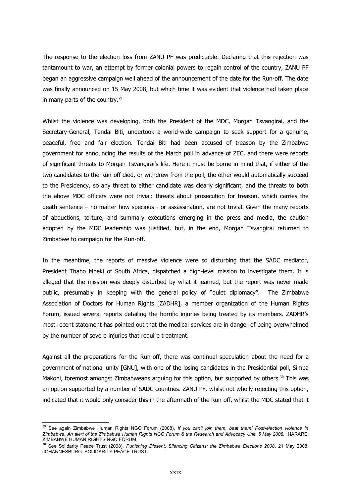The response to the election loss from ZANU PF was predictable. Declaring that this rejection was tantamount to war, an attempt by former colonial powers to regain control of the country, ZANU PF began an aggressive campaign well ahead of the announcement of the date for the Run-off. The date was finally announced on 15 May 2008, but which time it was evident that violence had taken place in many parts of the country.<sup>[29](#page-28-0)</sup>

Whilst the violence was developing, both the President of the MDC, Morgan Tsvangirai, and the Secretary-General, Tendai Biti, undertook a world-wide campaign to seek support for a genuine, peaceful, free and fair election. Tendai Biti had been accused of treason by the Zimbabwe government for announcing the results of the March poll in advance of ZEC, and there were reports of significant threats to Morgan Tsvangirai's life. Here it must be borne in mind that, if either of the two candidates to the Run-off died, or withdrew from the poll, the other would automatically succeed to the Presidency, so any threat to either candidate was clearly significant, and the threats to both the above MDC officers were not trivial: threats about prosecution for treason, which carries the death sentence – no matter how specious - or assassination, are not trivial. Given the many reports of abductions, torture, and summary executions emerging in the press and media, the caution adopted by the MDC leadership was justified, but, in the end, Morgan Tsvangirai returned to Zimbabwe to campaign for the Run-off.

In the meantime, the reports of massive violence were so disturbing that the SADC mediator, President Thabo Mbeki of South Africa, dispatched a high-level mission to investigate them. It is alleged that the mission was deeply disturbed by what it learned, but the report was never made public, presumably in keeping with the general policy of "quiet diplomacy". The Zimbabwe Association of Doctors for Human Rights [ZADHR], a member organization of the Human Rights Forum, issued several reports detailing the horrific injuries being treated by its members. ZADHR's most recent statement has pointed out that the medical services are in danger of being overwhelmed by the number of severe injuries that require treatment.

Against all the preparations for the Run-off, there was continual speculation about the need for a government of national unity [GNU], with one of the losing candidates in the Presidential poll, Simba Makoni, foremost amongst Zimbabweans arguing for this option, but supported by others.<sup>[30](#page-28-1)</sup> This was an option supported by a number of SADC countries. ZANU PF, whilst not wholly rejecting this option, indicated that it would only consider this in the aftermath of the Run-off, whilst the MDC stated that it

<span id="page-28-0"></span><sup>29</sup> See again Zimbabwe Human Rights NGO Forum (2008), *If you can't join them, beat them! Post-election violence in Zimbabwe. An alert of the Zimbabwe Human Rights NGO Forum & the Research and Advocacy Unit. 5 May 2008.* HARARE: ZIMBABWE HUMAN RIGHTS NGO FORUM.

<span id="page-28-1"></span><sup>30</sup> See Solidarity Peace Trust (2008), *Punishing Dissent, Silencing Citizens: the Zimbabwe Elections 2008*. 21 May 2008. JOHANNESBURG: SOLIDARITY PEACE TRUST.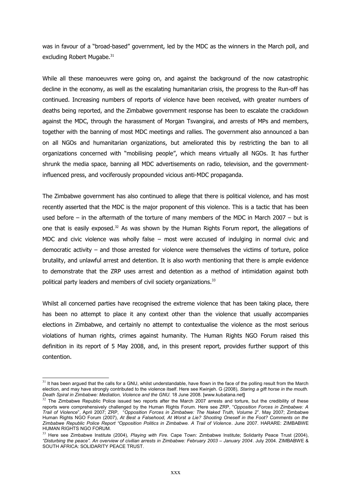was in favour of a "broad-based" government, led by the MDC as the winners in the March poll, and excluding Robert Mugabe.<sup>[31](#page-29-0)</sup>

While all these manoeuvres were going on, and against the background of the now catastrophic decline in the economy, as well as the escalating humanitarian crisis, the progress to the Run-off has continued. Increasing numbers of reports of violence have been received, with greater numbers of deaths being reported, and the Zimbabwe government response has been to escalate the crackdown against the MDC, through the harassment of Morgan Tsvangirai, and arrests of MPs and members, together with the banning of most MDC meetings and rallies. The government also announced a ban on all NGOs and humanitarian organizations, but ameliorated this by restricting the ban to all organizations concerned with "mobilising people", which means virtually all NGOs. It has further shrunk the media space, banning all MDC advertisements on radio, television, and the governmentinfluenced press, and vociferously propounded vicious anti-MDC propaganda.

The Zimbabwe government has also continued to allege that there is political violence, and has most recently asserted that the MDC is the major proponent of this violence. This is a tactic that has been used before – in the aftermath of the torture of many members of the MDC in March 2007 – but is one that is easily exposed.<sup>[32](#page-29-1)</sup> As was shown by the Human Rights Forum report, the allegations of MDC and civic violence was wholly false – most were accused of indulging in normal civic and democratic activity – and those arrested for violence were themselves the victims of torture, police brutality, and unlawful arrest and detention. It is also worth mentioning that there is ample evidence to demonstrate that the ZRP uses arrest and detention as a method of intimidation against both political party leaders and members of civil society organizations.<sup>[33](#page-29-2)</sup>

Whilst all concerned parties have recognised the extreme violence that has been taking place, there has been no attempt to place it any context other than the violence that usually accompanies elections in Zimbabwe, and certainly no attempt to contextualise the violence as the most serious violations of human rights, crimes against humanity. The Human Rights NGO Forum raised this definition in its report of 5 May 2008, and, in this present report, provides further support of this contention.

<span id="page-29-0"></span> $31$  It has been arqued that the calls for a GNU, whilst understandable, have flown in the face of the polling result from the March election, and may have strongly contributed to the violence itself. Here see Kwinjeh. G (2008), *Staring a gift horse in the mouth. Death Spiral in Zimbabwe: Mediation, Violence and the GNU*. 18 June 2008. [www.kubatana.net**]**

<span id="page-29-1"></span> $32$  The Zimbabwe Republic Police issued two reports after the March 2007 arrests and torture, but the credibility of these reports were comprehensively challenged by the Human Rights Forum. Here see ZRP, "*Opposition Forces in Zimbabwe: A Trail of Violence*", April 2007; ZRP, "*Opposition Forces in Zimbabwe: The Naked Truth, Volume 2*". May 2007; Zimbabwe Human Rights NGO Forum (2007), *At Best a Falsehood, At Worst a Lie? Shooting Oneself in the Foot? Comments on the Zimbabwe Republic Police Report "Opposition Politics in Zimbabwe. A Trail of Violence*. June 2007. HARARE: ZIMBABWE HUMAN RIGHTS NGO FORUM.

<span id="page-29-2"></span><sup>33</sup> Here see Zimbabwe Institute (2004), *Playing with Fire.* Cape Town: Zimbabwe Institute; Solidarity Peace Trust (2004), *"Disturbing the peace". An overview of civilian arrests in Zimbabwe: February 2003 – January 2004*. July 2004. ZIMBABWE & SOUTH AFRICA: SOLIDARITY PEACE TRUST.